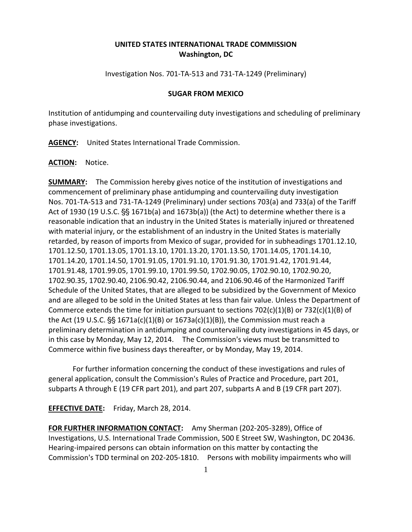## **UNITED STATES INTERNATIONAL TRADE COMMISSION Washington, DC**

Investigation Nos. 701-TA-513 and 731-TA-1249 (Preliminary)

## **SUGAR FROM MEXICO**

Institution of antidumping and countervailing duty investigations and scheduling of preliminary phase investigations.

**AGENCY:** United States International Trade Commission.

**ACTION:** Notice.

**SUMMARY:** The Commission hereby gives notice of the institution of investigations and commencement of preliminary phase antidumping and countervailing duty investigation Nos. 701-TA-513 and 731-TA-1249 (Preliminary) under sections 703(a) and 733(a) of the Tariff Act of 1930 (19 U.S.C.  $S_5$  1671b(a) and 1673b(a)) (the Act) to determine whether there is a reasonable indication that an industry in the United States is materially injured or threatened with material injury, or the establishment of an industry in the United States is materially retarded, by reason of imports from Mexico of sugar, provided for in subheadings 1701.12.10, 1701.12.50, 1701.13.05, 1701.13.10, 1701.13.20, 1701.13.50, 1701.14.05, 1701.14.10, 1701.14.20, 1701.14.50, 1701.91.05, 1701.91.10, 1701.91.30, 1701.91.42, 1701.91.44, 1701.91.48, 1701.99.05, 1701.99.10, 1701.99.50, 1702.90.05, 1702.90.10, 1702.90.20, 1702.90.35, 1702.90.40, 2106.90.42, 2106.90.44, and 2106.90.46 of the Harmonized Tariff Schedule of the United States, that are alleged to be subsidized by the Government of Mexico and are alleged to be sold in the United States at less than fair value. Unless the Department of Commerce extends the time for initiation pursuant to sections 702(c)(1)(B) or 732(c)(1)(B) of the Act (19 U.S.C.  $\S$  1671a(c)(1)(B) or 1673a(c)(1)(B)), the Commission must reach a preliminary determination in antidumping and countervailing duty investigations in 45 days, or in this case by Monday, May 12, 2014. The Commission's views must be transmitted to Commerce within five business days thereafter, or by Monday, May 19, 2014.

For further information concerning the conduct of these investigations and rules of general application, consult the Commission's Rules of Practice and Procedure, part 201, subparts A through E (19 CFR part 201), and part 207, subparts A and B (19 CFR part 207).

**EFFECTIVE DATE:** Friday, March 28, 2014.

**FOR FURTHER INFORMATION CONTACT:** Amy Sherman (202-205-3289), Office of Investigations, U.S. International Trade Commission, 500 E Street SW, Washington, DC 20436. Hearing-impaired persons can obtain information on this matter by contacting the Commission's TDD terminal on 202-205-1810. Persons with mobility impairments who will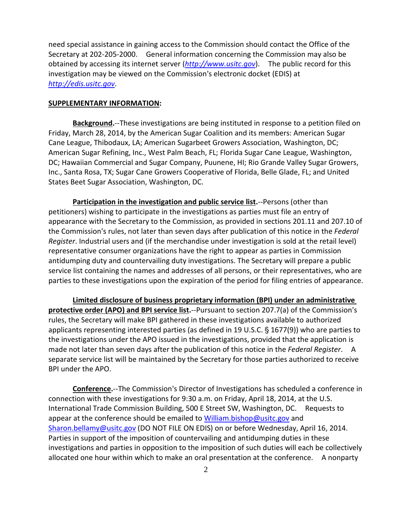need special assistance in gaining access to the Commission should contact the Office of the Secretary at 202-205-2000. General information concerning the Commission may also be obtained by accessing its internet server (*[http://www.usitc.gov](http://www.usitc.gov/)*). The public record for this investigation may be viewed on the Commission's electronic docket (EDIS) at *[http://edis.usitc.gov](http://edis.usitc.gov/)*.

## **SUPPLEMENTARY INFORMATION:**

**Background.**--These investigations are being instituted in response to a petition filed on Friday, March 28, 2014, by the American Sugar Coalition and its members: American Sugar Cane League, Thibodaux, LA; American Sugarbeet Growers Association, Washington, DC; American Sugar Refining, Inc., West Palm Beach, FL; Florida Sugar Cane League, Washington, DC; Hawaiian Commercial and Sugar Company, Puunene, HI; Rio Grande Valley Sugar Growers, Inc., Santa Rosa, TX; Sugar Cane Growers Cooperative of Florida, Belle Glade, FL; and United States Beet Sugar Association, Washington, DC.

**Participation in the investigation and public service list.**--Persons (other than petitioners) wishing to participate in the investigations as parties must file an entry of appearance with the Secretary to the Commission, as provided in sections 201.11 and 207.10 of the Commission's rules, not later than seven days after publication of this notice in the *Federal Register*. Industrial users and (if the merchandise under investigation is sold at the retail level) representative consumer organizations have the right to appear as parties in Commission antidumping duty and countervailing duty investigations. The Secretary will prepare a public service list containing the names and addresses of all persons, or their representatives, who are parties to these investigations upon the expiration of the period for filing entries of appearance.

**Limited disclosure of business proprietary information (BPI) under an administrative protective order (APO) and BPI service list.**--Pursuant to section 207.7(a) of the Commission's rules, the Secretary will make BPI gathered in these investigations available to authorized applicants representing interested parties (as defined in 19 U.S.C.  $\S$  1677(9)) who are parties to the investigations under the APO issued in the investigations, provided that the application is made not later than seven days after the publication of this notice in the *Federal Register*. A separate service list will be maintained by the Secretary for those parties authorized to receive BPI under the APO.

**Conference.**--The Commission's Director of Investigations has scheduled a conference in connection with these investigations for 9:30 a.m. on Friday, April 18, 2014, at the U.S. International Trade Commission Building, 500 E Street SW, Washington, DC. Requests to appear at the conference should be emailed to [William.bishop@usitc.gov](mailto:William.bishop@usitc.gov) and [Sharon.bellamy@usitc.gov](mailto:Sharon.bellamy@usitc.gov)) (DO NOT FILE ON EDIS) on or before Wednesday, April 16, 2014. Parties in support of the imposition of countervailing and antidumping duties in these investigations and parties in opposition to the imposition of such duties will each be collectively allocated one hour within which to make an oral presentation at the conference. A nonparty